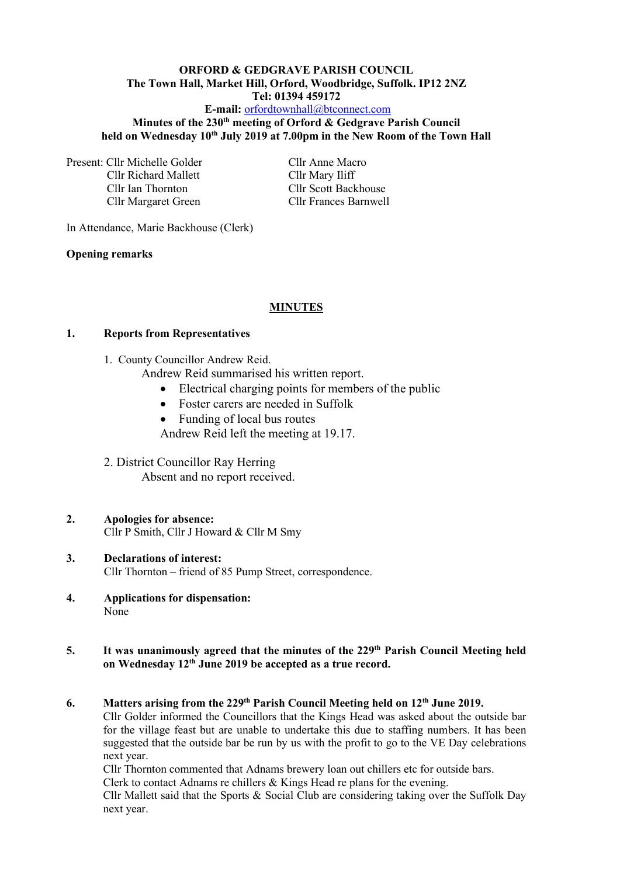#### **ORFORD & GEDGRAVE PARISH COUNCIL The Town Hall, Market Hill, Orford, Woodbridge, Suffolk. IP12 2NZ Tel: 01394 459172 E-mail:** [orfordtownhall@btconnect.com](mailto:orfordtownhall@btconnect.com)

## **Minutes of the 230th meeting of Orford & Gedgrave Parish Council held on Wednesday 10 th July 2019 at 7.00pm in the New Room of the Town Hall**

Present: Cllr Michelle Golder Cllr Anne Macro Cllr Richard Mallett Cllr Mary Iliff Cllr Ian Thornton Cllr Scott Backhouse

Cllr Margaret Green Cllr Frances Barnwell

In Attendance, Marie Backhouse (Clerk)

#### **Opening remarks**

## **MINUTES**

#### **1. Reports from Representatives**

1. County Councillor Andrew Reid.

Andrew Reid summarised his written report.

- Electrical charging points for members of the public
- Foster carers are needed in Suffolk
- Funding of local bus routes
- Andrew Reid left the meeting at 19.17.

#### 2. District Councillor Ray Herring Absent and no report received.

# **2. Apologies for absence:**

Cllr P Smith, Cllr J Howard & Cllr M Smy

## **3. Declarations of interest:** Cllr Thornton – friend of 85 Pump Street, correspondence.

**4. Applications for dispensation:** None

#### 5. It was unanimously agreed that the minutes of the 229<sup>th</sup> Parish Council Meeting held **on Wednesday 12 th June 2019 be accepted as a true record.**

## **6. Matters arising from the 229 th Parish Council Meeting held on 12 th June 2019.**

Cllr Golder informed the Councillors that the Kings Head was asked about the outside bar for the village feast but are unable to undertake this due to staffing numbers. It has been suggested that the outside bar be run by us with the profit to go to the VE Day celebrations next year.

Cllr Thornton commented that Adnams brewery loan out chillers etc for outside bars.

Clerk to contact Adnams re chillers & Kings Head re plans for the evening.

Cllr Mallett said that the Sports & Social Club are considering taking over the Suffolk Day next year.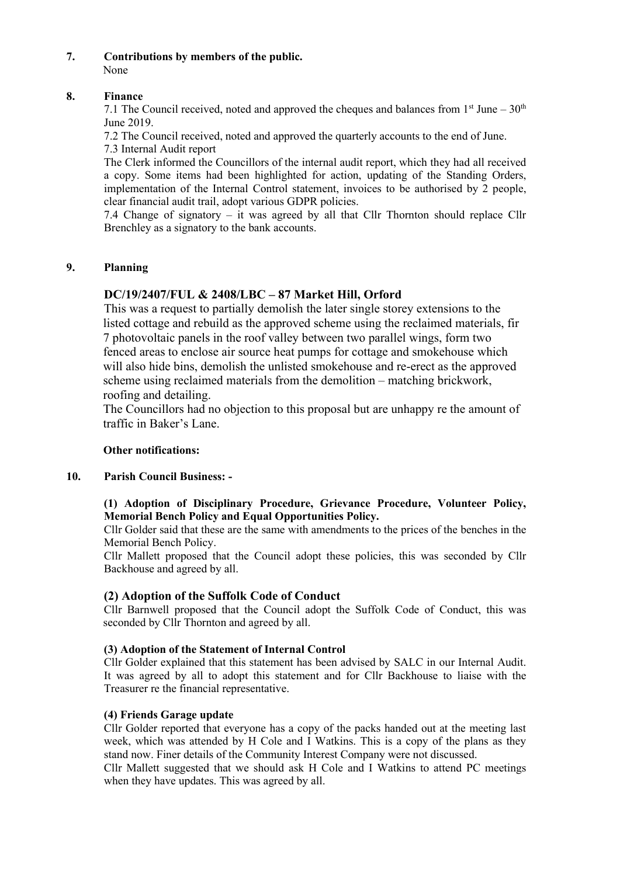## **7. Contributions by members of the public.**

None

## **8. Finance**

7.1 The Council received, noted and approved the cheques and balances from  $1<sup>st</sup>$  June –  $30<sup>th</sup>$ June 2019.

7.2 The Council received, noted and approved the quarterly accounts to the end of June. 7.3 Internal Audit report

The Clerk informed the Councillors of the internal audit report, which they had all received a copy. Some items had been highlighted for action, updating of the Standing Orders, implementation of the Internal Control statement, invoices to be authorised by 2 people, clear financial audit trail, adopt various GDPR policies.

7.4 Change of signatory – it was agreed by all that Cllr Thornton should replace Cllr Brenchley as a signatory to the bank accounts.

# **9. Planning**

# **DC/19/2407/FUL & 2408/LBC – 87 Market Hill, Orford**

This was a request to partially demolish the later single storey extensions to the listed cottage and rebuild as the approved scheme using the reclaimed materials, fir 7 photovoltaic panels in the roof valley between two parallel wings, form two fenced areas to enclose air source heat pumps for cottage and smokehouse which will also hide bins, demolish the unlisted smokehouse and re-erect as the approved scheme using reclaimed materials from the demolition – matching brickwork, roofing and detailing.

The Councillors had no objection to this proposal but are unhappy re the amount of traffic in Baker's Lane.

## **Other notifications:**

## **10. Parish Council Business: -**

## **(1) Adoption of Disciplinary Procedure, Grievance Procedure, Volunteer Policy, Memorial Bench Policy and Equal Opportunities Policy.**

Cllr Golder said that these are the same with amendments to the prices of the benches in the Memorial Bench Policy.

Cllr Mallett proposed that the Council adopt these policies, this was seconded by Cllr Backhouse and agreed by all.

# **(2) Adoption of the Suffolk Code of Conduct**

Cllr Barnwell proposed that the Council adopt the Suffolk Code of Conduct, this was seconded by Cllr Thornton and agreed by all.

## **(3) Adoption of the Statement of Internal Control**

Cllr Golder explained that this statement has been advised by SALC in our Internal Audit. It was agreed by all to adopt this statement and for Cllr Backhouse to liaise with the Treasurer re the financial representative.

## **(4) Friends Garage update**

Cllr Golder reported that everyone has a copy of the packs handed out at the meeting last week, which was attended by H Cole and I Watkins. This is a copy of the plans as they stand now. Finer details of the Community Interest Company were not discussed.

Cllr Mallett suggested that we should ask H Cole and I Watkins to attend PC meetings when they have updates. This was agreed by all.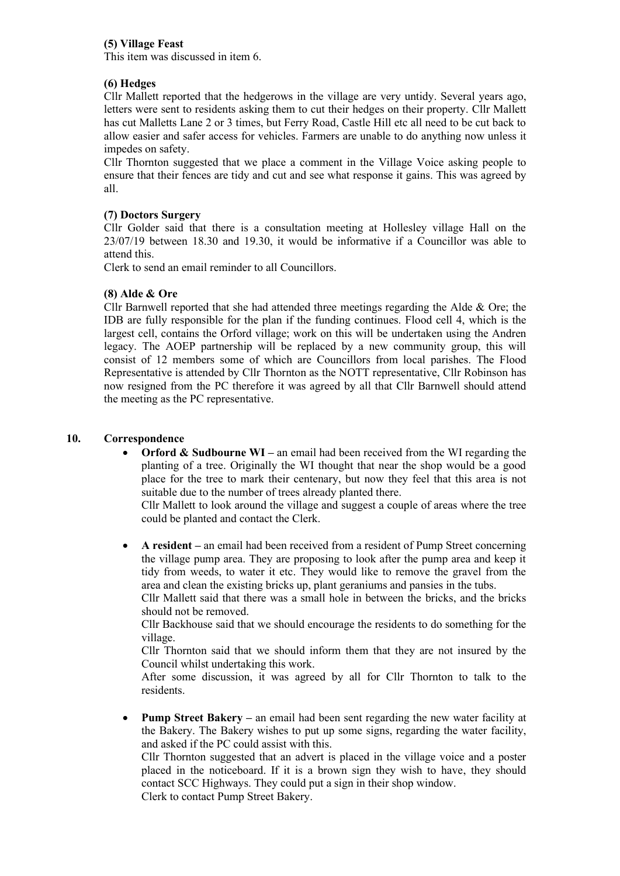## **(5) Village Feast**

This item was discussed in item 6.

## **(6) Hedges**

Cllr Mallett reported that the hedgerows in the village are very untidy. Several years ago, letters were sent to residents asking them to cut their hedges on their property. Cllr Mallett has cut Malletts Lane 2 or 3 times, but Ferry Road, Castle Hill etc all need to be cut back to allow easier and safer access for vehicles. Farmers are unable to do anything now unless it impedes on safety.

Cllr Thornton suggested that we place a comment in the Village Voice asking people to ensure that their fences are tidy and cut and see what response it gains. This was agreed by all.

## **(7) Doctors Surgery**

Cllr Golder said that there is a consultation meeting at Hollesley village Hall on the 23/07/19 between 18.30 and 19.30, it would be informative if a Councillor was able to attend this.

Clerk to send an email reminder to all Councillors.

## **(8) Alde & Ore**

Cllr Barnwell reported that she had attended three meetings regarding the Alde & Ore; the IDB are fully responsible for the plan if the funding continues. Flood cell 4, which is the largest cell, contains the Orford village; work on this will be undertaken using the Andren legacy. The AOEP partnership will be replaced by a new community group, this will consist of 12 members some of which are Councillors from local parishes. The Flood Representative is attended by Cllr Thornton as the NOTT representative, Cllr Robinson has now resigned from the PC therefore it was agreed by all that Cllr Barnwell should attend the meeting as the PC representative.

## **10. Correspondence**

• **Orford & Sudbourne WI –** an email had been received from the WI regarding the planting of a tree. Originally the WI thought that near the shop would be a good place for the tree to mark their centenary, but now they feel that this area is not suitable due to the number of trees already planted there.

Cllr Mallett to look around the village and suggest a couple of areas where the tree could be planted and contact the Clerk.

• **A resident –** an email had been received from a resident of Pump Street concerning the village pump area. They are proposing to look after the pump area and keep it tidy from weeds, to water it etc. They would like to remove the gravel from the area and clean the existing bricks up, plant geraniums and pansies in the tubs.

Cllr Mallett said that there was a small hole in between the bricks, and the bricks should not be removed.

Cllr Backhouse said that we should encourage the residents to do something for the village.

Cllr Thornton said that we should inform them that they are not insured by the Council whilst undertaking this work.

After some discussion, it was agreed by all for Cllr Thornton to talk to the residents.

• **Pump Street Bakery –** an email had been sent regarding the new water facility at the Bakery. The Bakery wishes to put up some signs, regarding the water facility, and asked if the PC could assist with this.

Cllr Thornton suggested that an advert is placed in the village voice and a poster placed in the noticeboard. If it is a brown sign they wish to have, they should contact SCC Highways. They could put a sign in their shop window. Clerk to contact Pump Street Bakery.